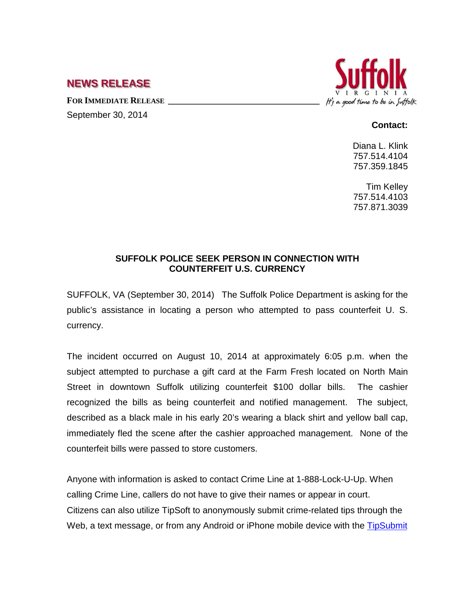## **NEWS RELEASE**

FOR **IMMEDIATE RELEASE** 

September 30, 2014

## It's a good time to be in Suffolk

## **Contact:**

Diana L. Klink 757.514.4104 757.359.1845

Tim Kelley 757.514.4103 757.871.3039

## **SUFFOLK POLICE SEEK PERSON IN CONNECTION WITH COUNTERFEIT U.S. CURRENCY**

SUFFOLK, VA (September 30, 2014) The Suffolk Police Department is asking for the public's assistance in locating a person who attempted to pass counterfeit U. S. currency.

The incident occurred on August 10, 2014 at approximately 6:05 p.m. when the subject attempted to purchase a gift card at the Farm Fresh located on North Main Street in downtown Suffolk utilizing counterfeit \$100 dollar bills. The cashier recognized the bills as being counterfeit and notified management. The subject, described as a black male in his early 20's wearing a black shirt and yellow ball cap, immediately fled the scene after the cashier approached management. None of the counterfeit bills were passed to store customers.

Anyone with information is asked to contact Crime Line at 1-888-Lock-U-Up. When calling Crime Line, callers do not have to give their names or appear in court. Citizens can also utilize TipSoft to anonymously submit crime-related tips through the Web, a text message, or from any Android or iPhone mobile device with the TipSubmit